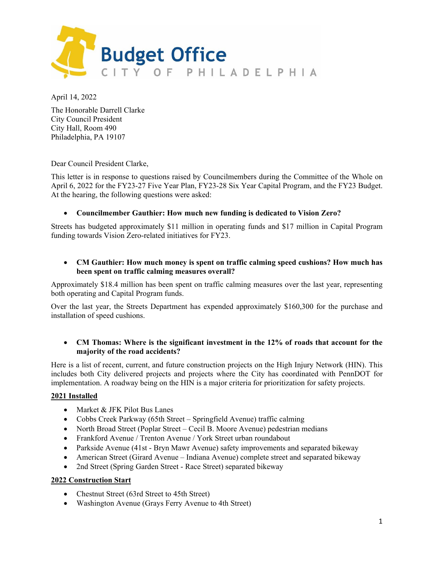

The Honorable Darrell Clarke City Council President City Hall, Room 490 Philadelphia, PA 19107

Dear Council President Clarke,

This letter is in response to questions raised by Councilmembers during the Committee of the Whole on April 6, 2022 for the FY23-27 Five Year Plan, FY23-28 Six Year Capital Program, and the FY23 Budget. At the hearing, the following questions were asked:

# • **Councilmember Gauthier: How much new funding is dedicated to Vision Zero?**

Streets has budgeted approximately \$11 million in operating funds and \$17 million in Capital Program funding towards Vision Zero-related initiatives for FY23.

## • **CM Gauthier: How much money is spent on traffic calming speed cushions? How much has been spent on traffic calming measures overall?**

Approximately \$18.4 million has been spent on traffic calming measures over the last year, representing both operating and Capital Program funds.

Over the last year, the Streets Department has expended approximately \$160,300 for the purchase and installation of speed cushions.

# • **CM Thomas: Where is the significant investment in the 12% of roads that account for the majority of the road accidents?**

Here is a list of recent, current, and future construction projects on the High Injury Network (HIN). This includes both City delivered projects and projects where the City has coordinated with PennDOT for implementation. A roadway being on the HIN is a major criteria for prioritization for safety projects.

# **2021 Installed**

- Market & JFK Pilot Bus Lanes
- Cobbs Creek Parkway (65th Street Springfield Avenue) traffic calming
- North Broad Street (Poplar Street Cecil B. Moore Avenue) pedestrian medians
- Frankford Avenue / Trenton Avenue / York Street urban roundabout
- Parkside Avenue (41st Bryn Mawr Avenue) safety improvements and separated bikeway
- American Street (Girard Avenue Indiana Avenue) complete street and separated bikeway
- 2nd Street (Spring Garden Street Race Street) separated bikeway

# **2022 Construction Start**

- Chestnut Street (63rd Street to 45th Street)
- Washington Avenue (Grays Ferry Avenue to 4th Street)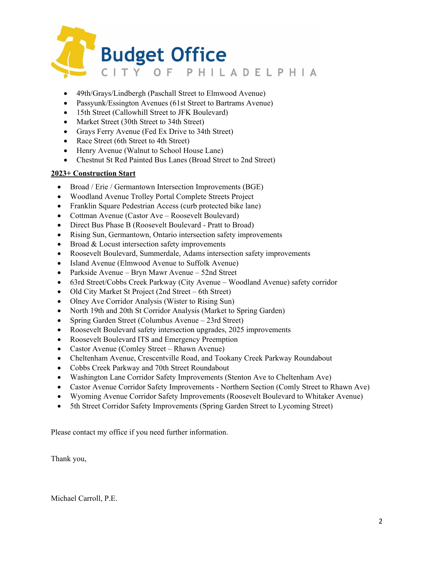

- 49th/Grays/Lindbergh (Paschall Street to Elmwood Avenue)
- Passyunk/Essington Avenues (61st Street to Bartrams Avenue)
- 15th Street (Callowhill Street to JFK Boulevard)
- Market Street (30th Street to 34th Street)
- Grays Ferry Avenue (Fed Ex Drive to 34th Street)
- Race Street (6th Street to 4th Street)
- Henry Avenue (Walnut to School House Lane)
- Chestnut St Red Painted Bus Lanes (Broad Street to 2nd Street)

# **2023+ Construction Start**

- Broad / Erie / Germantown Intersection Improvements (BGE)
- Woodland Avenue Trolley Portal Complete Streets Project
- Franklin Square Pedestrian Access (curb protected bike lane)
- Cottman Avenue (Castor Ave Roosevelt Boulevard)
- Direct Bus Phase B (Roosevelt Boulevard Pratt to Broad)
- Rising Sun, Germantown, Ontario intersection safety improvements
- Broad & Locust intersection safety improvements
- Roosevelt Boulevard, Summerdale, Adams intersection safety improvements
- Island Avenue (Elmwood Avenue to Suffolk Avenue)
- Parkside Avenue Bryn Mawr Avenue 52nd Street
- 63rd Street/Cobbs Creek Parkway (City Avenue Woodland Avenue) safety corridor
- Old City Market St Project (2nd Street 6th Street)
- Olney Ave Corridor Analysis (Wister to Rising Sun)
- North 19th and 20th St Corridor Analysis (Market to Spring Garden)
- Spring Garden Street (Columbus Avenue 23rd Street)
- Roosevelt Boulevard safety intersection upgrades, 2025 improvements
- Roosevelt Boulevard ITS and Emergency Preemption
- Castor Avenue (Comley Street Rhawn Avenue)
- Cheltenham Avenue, Crescentville Road, and Tookany Creek Parkway Roundabout
- Cobbs Creek Parkway and 70th Street Roundabout
- Washington Lane Corridor Safety Improvements (Stenton Ave to Cheltenham Ave)
- Castor Avenue Corridor Safety Improvements Northern Section (Comly Street to Rhawn Ave)
- Wyoming Avenue Corridor Safety Improvements (Roosevelt Boulevard to Whitaker Avenue)
- 5th Street Corridor Safety Improvements (Spring Garden Street to Lycoming Street)

Please contact my office if you need further information.

Thank you,

Michael Carroll, P.E.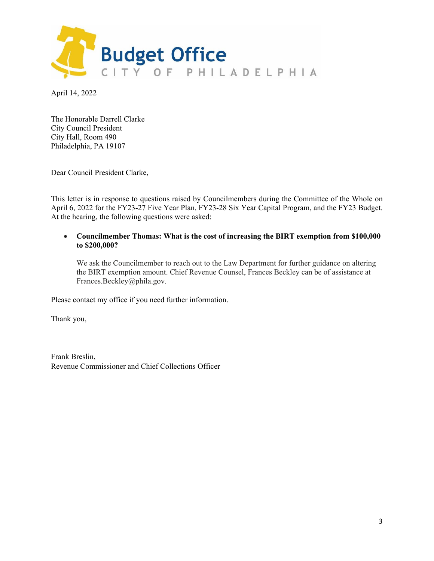

The Honorable Darrell Clarke City Council President City Hall, Room 490 Philadelphia, PA 19107

Dear Council President Clarke,

This letter is in response to questions raised by Councilmembers during the Committee of the Whole on April 6, 2022 for the FY23-27 Five Year Plan, FY23-28 Six Year Capital Program, and the FY23 Budget. At the hearing, the following questions were asked:

• **Councilmember Thomas: What is the cost of increasing the BIRT exemption from \$100,000 to \$200,000?**

We ask the Councilmember to reach out to the Law Department for further guidance on altering the BIRT exemption amount. Chief Revenue Counsel, Frances Beckley can be of assistance at Frances.Beckley@phila.gov.

Please contact my office if you need further information.

Thank you,

Frank Breslin, Revenue Commissioner and Chief Collections Officer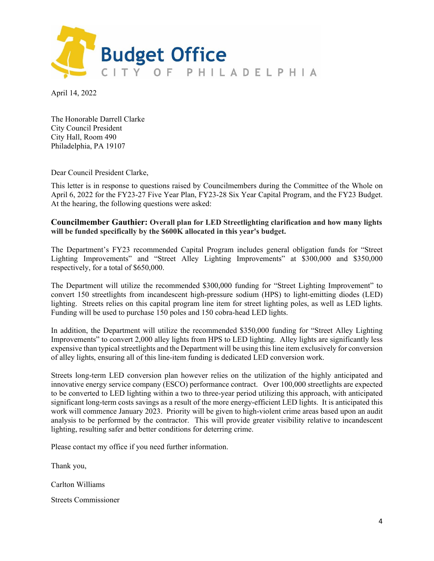

The Honorable Darrell Clarke City Council President City Hall, Room 490 Philadelphia, PA 19107

Dear Council President Clarke,

This letter is in response to questions raised by Councilmembers during the Committee of the Whole on April 6, 2022 for the FY23-27 Five Year Plan, FY23-28 Six Year Capital Program, and the FY23 Budget. At the hearing, the following questions were asked:

**Councilmember Gauthier: Overall plan for LED Streetlighting clarification and how many lights will be funded specifically by the \$600K allocated in this year's budget.**

The Department's FY23 recommended Capital Program includes general obligation funds for "Street Lighting Improvements" and "Street Alley Lighting Improvements" at \$300,000 and \$350,000 respectively, for a total of \$650,000.

The Department will utilize the recommended \$300,000 funding for "Street Lighting Improvement" to convert 150 streetlights from incandescent high-pressure sodium (HPS) to light-emitting diodes (LED) lighting. Streets relies on this capital program line item for street lighting poles, as well as LED lights. Funding will be used to purchase 150 poles and 150 cobra-head LED lights.

In addition, the Department will utilize the recommended \$350,000 funding for "Street Alley Lighting Improvements" to convert 2,000 alley lights from HPS to LED lighting. Alley lights are significantly less expensive than typical streetlights and the Department will be using this line item exclusively for conversion of alley lights, ensuring all of this line-item funding is dedicated LED conversion work.

Streets long-term LED conversion plan however relies on the utilization of the highly anticipated and innovative energy service company (ESCO) performance contract. Over 100,000 streetlights are expected to be converted to LED lighting within a two to three-year period utilizing this approach, with anticipated significant long-term costs savings as a result of the more energy-efficient LED lights. It is anticipated this work will commence January 2023. Priority will be given to high-violent crime areas based upon an audit analysis to be performed by the contractor. This will provide greater visibility relative to incandescent lighting, resulting safer and better conditions for deterring crime.

Please contact my office if you need further information.

Thank you,

Carlton Williams

Streets Commissioner